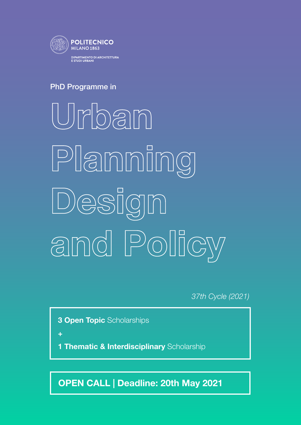

## PhD Programme in

Urban Planning Design and Policy

*37th Cycle (2021)*

**3 Open Topic Scholarships** 

+

**Thematic & Interdisciplinary Scholarship** 

OPEN CALL | Deadline: 20th May 2021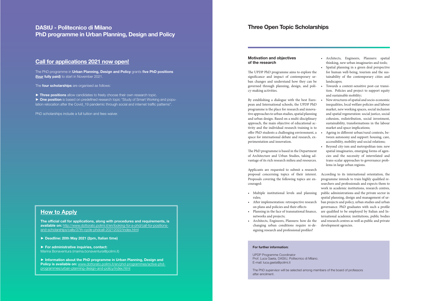The official call for applications, along with procedures and requirements, is available on: [http://www.dottorato.polimi.it/en/looking-for-a-phd/call-for-positions](http://www.dottorato.polimi.it/en/looking-for-a-phd/call-for-positions-and-scholarships/calls/37th-cycle-phdcall-20212022/index.html)[and-scholarships/calls/37th-cycle-phdcall-20212022/index.html](http://www.dottorato.polimi.it/en/looking-for-a-phd/call-for-positions-and-scholarships/calls/37th-cycle-phdcall-20212022/index.html)

► Deadline: 20th May 2021 (2pm, Italian time)

► For administrative inquiries, contact: Marina Bonaventura [\(marina.bonaventura@polimi.it\)](mailto:marina.bonaventura@polimi.it)

The PhD programme in Urban Planning, Design and Policy grants five PhD positions (four fully paid) to start in November 2021.

The **four scholarships** are organised as follows:

► Three positions allow candidates to freely choose their own research topic.

► Information about the PhD programme in Urban Planning, Design and Policy is available on: [www.dottorato.polimi.it/en/phd-programmes/active-phd](http://www.dottorato.polimi.it/en/phd-programmes/active-phd-programmes/urban-planning-design-and-policy/index.html)[programmes/urban-planning-design-and-policy/index.html](http://www.dottorato.polimi.it/en/phd-programmes/active-phd-programmes/urban-planning-design-and-policy/index.html)

► One position is based on predefined research topic "Study of Smart Working and population relocation after the Covid\_19 pandemic through social and internet traffic patterns".

### DAStU - Politecnico di Milano PhD programme in Urban Planning, Design and Policy

### Call for applications 2021 now open!

PhD scholarships include a full tuition and fees waiver.

### **How to Apply**

### Three Open Topic Scholarships

### Motivation and objectives of the research

The UPDP PhD programme aims to explore the significance and impact of contemporary urban changes and understand how they can be governed through planning, design, and policy-making activities.

By establishing a dialogue with the best European and International schools, the UPDP PhD programme is the place for research and innovative approaches to urban studies, spatial planning and urban design. Based on a multi-disciplinary approach, the main objective of educational activity and the individual research training is to offer PhD students a challenging environment, a space for international debate and research, experimentation and innovation.

The PhD programme is based in the Department of Architecture and Urban Studies, taking advantage of its rich research milieu and resources.

Applicants are requested to submit a research proposal concerning topics of their interest. Proposals covering the following topics are encouraged:

- Multiple institutional levels and planning rules;
- After implementation: retrospective research on plans and policies and their effects
- Planning in the face of transnational finance, networks and projects;
- Architects, Engineers, Planners: how do the changing urban conditions require re-designing research and professional profiles?
- Architects, Engineers, Planners: spatial thinking, new urban imaginaries and tools;
- Spatial planning in a green deal perspective for human well-being, tourism and the sustainability of the contemporary cities and landscapes;
- Towards a context-sensitive post-car transition. Policies and project to support equity and sustainable mobility;
- New structures of spatial and socio-economic inequalities, local welfare policies and labour market, new working spaces, social inclusion and spatial regeneration: social justice, social cohesion, redistribution, social investment, sustainability, transformations in the labour market and space implications;
- Ageing in different urban/rural contexts, between autonomy and support: housing, care, accessibility, mobility and social relations;
- Beyond city-ism and metropolitan-ism: new spatial imaginaries, emerging forms of agencies and the necessity of interrelated and trans-scalar approaches to governance problems in large urban regions.

According to its international orientation, the programme intends to train highly qualified researchers and professionals and expects them to work in academic institutions, research centres, public administrations and the private sector in spatial planning, design and management of urban projects and policy, urban studies and urban governance. PhD graduates with such a profile are qualified to be employed by Italian and International academic institutions, public bodies and research centres as well as public and private development agencies.

#### For further information:

UPDP Programme Coordinator Prof. Luca Gaeta, DAStU, Politecnico di Milano. E-mail: luca.gaeta@polimi.it

The PhD supervisor will be selected among members of the board of professors after enrolment.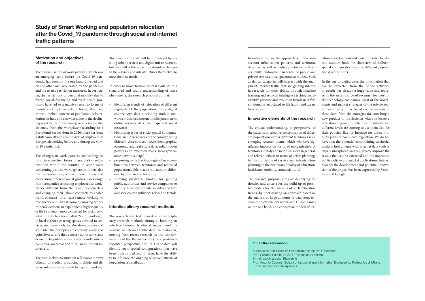## Study of Smart Working and population relocation after the Covid\_19 pandemic through social and internet traffic patterns

#### Motivation and objectives of the research

The reorganisation of work patterns, which was an emerging trend before the Covid-19 pandemic, has been on the one hand unveiled and on the other one accelerated by the pandemic and the related restriction measures. In particular, the restrictions to personal mobility due to forced social distancing and rigid health protocols have led to a massive resort to forms of remote working (mainly from home), that have in turn implied patterns of population redistribution, in Italy and elsewhere, due to the declining need to live in proximity, or at a reasonable distance, from the workplace (according to a Eurofound Survey done in 2020, there has been a shift from 20% to around 40% of employees in Europe teleworking before and during the Covid-19 pandemic).

The changes in work patterns are leading, in turn, to some first forms of population redistribution within the country, in some cases concerning just the work sphere, in others also the residential one, across different areas and concerning different social groups: cases range from companies relocating employees to workplaces different from the main headquarters and changing their labour contracts to enable forms of smart- or at least remote working, to freelancers and digital nomads moving to peripheral locations to experience a higher quality of life (a phenomenon connected for instance to what in Italy has been called 'South working'), to local authorities using spaces devoted to services, such as schools, to relocate employees and students. The examples are certainly many and quite diverse, and they concern at the same time dense metropolitan cores, lower density suburban areas, marginal and rural areas, tourist resorts, etc.

- identifying trends of relocation of different segments of the population, using digital connectivity data (including mobile networks indicators, internet traffic parameters, online services data like maps and social networks)
- identifying types of socio-spatial configurations, in different areas of the country, using different data sources (socio-demographic, economic and real estate data, urbanisation patterns and evolution maps, local governance networks maps)
- proposing some first typologies of new combinations between territories and relocated populations, able to take into account different rhythms and cycles of use
- studying predictive models for guiding public authorities and service companies to identify how investments in infrastructure and services can influence relocation trends.

The post-lockdown situation will evolve in ways difficult to predict, producing multiple and diverse solutions in terms of living and working.

The evolution trends will be influenced by existing urban services and digital infrastructures, but they will at the same time stimulate changes in the services and infrastructures themselves to meet the new needs.

In order to move from anecdotal evidence to a structured and sound understanding of these phenomena, the research proposal aims at:

#### Interdisciplinary research methods

The research will test innovative interdisciplinary research methods aiming at building an interface between territorial analysis and the analysis of internet traffic data. In particular, moving from recent research on the transformations of the Italian territory in a post-metropolitan perspective, the PhD candidate will identify socio-spatial configurations that have been transformed and, in turn, have the ability to influence the ongoing selective patterns of population redistribution.

In order to do so, the approach will take into account urbanisation patterns and territorial densities, as well as mobility networks and accessibility, endowment in terms of public and private services, local governance models. Such analytical categories will interact with the analysis of internet traffic that are gaining interest in research for their ability, through machine learning and artificial intelligence techniques, to identify patterns and evolution trends in different domains associated to life habits and access to services.

#### Innovative elements of the research

The critical understanding, in perspective, of the patterns of selective concentration of different populations across different territories is an emerging research theme, which will have significant impacts on forms of reorganisation of territories in Italy and in the EU more in general, and relevant effects in terms of urban planning, but also in terms of service and infrastructure planning in the next years (quality of education, healthcare, mobility, connectivity, ...).

The research proposal aims at identifying rationales and criteria for the build up of possible models for the analysis of such relocation trends, by interweaving an approach based on the analysis of large amounts of data from telecommunications operators and IT companies on the one hand, and conceptual models of territorial development and evolution (able to take into account both the characters of different spatial configurations and of different populations) on the other.

In the age of digital data, the information that can be extracted from the online activities of people has already a huge value and represents the main source of revenues for most of the technology companies. Most of the investments and market strategies of the private sector are already today based on the analysis of these data, from the strategies for launching a new product to the decision where to locate a new shopping mall. Public local institutions at different levels are starting to use them also for their policies, like for instance for urban mobility plans or commerce regulation. We do believe that the potential of combining territorial analysis instruments with internet data tools is largely unexplored and can greatly improve the results that can be extracted and the impact on public policies and market applications. Interest towards the development and potential innovation of the project has been expressed by Vodafone and Google.

#### For further information:

Supervisors and Scientific Responsible of the PhD Research: Prof. Carolina Pacchi, DAStU, Politecnico di Milano. E-mail: carolina.pacchi@polimi.it Prof. Antonio Capone, School of Industrial and Information Engineering, Politecnico di Milano. E-mail: antonio.capone@polimi.it